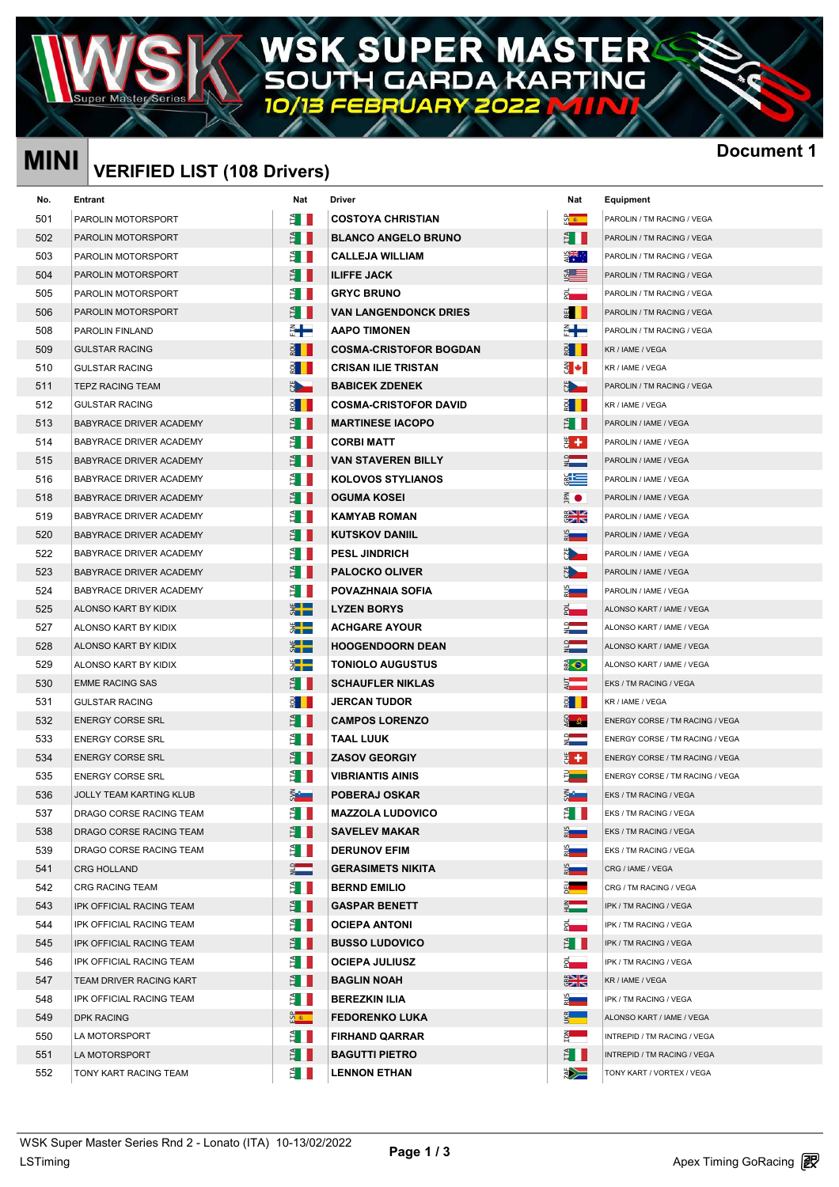### R) W Δ **RTING** G т DΑ

## **MINI Document 1 VERIFIED LIST (108 Drivers)**

| Nat<br>No.<br>Entrant<br>Nat<br>Driver<br>Equipment<br>ទ <mark>ី ≉</mark><br>501<br>PAROLIN MOTORSPORT<br><b>COSTOYA CHRISTIAN</b><br>ÈII.<br>PAROLIN / TM RACING / VEGA<br>Ê II<br>502<br>ŽН.<br><b>BLANCO ANGELO BRUNO</b><br>PAROLIN MOTORSPORT<br>PAROLIN / TM RACING / VEGA<br>erak<br>E<br>503<br>ÈII<br><b>CALLEJA WILLIAM</b><br>PAROLIN MOTORSPORT<br>PAROLIN / TM RACING / VEGA<br>S <sub>e</sub><br>ÈШ<br><b>ILIFFE JACK</b><br>504<br>PAROLIN MOTORSPORT<br>PAROLIN / TM RACING / VEGA<br>Ê I<br>$\vec{z}$ .<br>505<br><b>GRYC BRUNO</b><br>PAROLIN MOTORSPORT<br>PAROLIN / TM RACING / VEGA<br>506<br>ÈII<br><b>VAN LANGENDONCK DRIES</b><br>■ Ⅱ<br>PAROLIN MOTORSPORT<br>PAROLIN / TM RACING / VEGA<br>╣╋<br>€╋<br>508<br><b>AAPO TIMONEN</b><br>PAROLIN FINLAND<br>PAROLIN / TM RACING / VEGA<br><u>a I I</u><br><u> ខ្ញុំ    </u><br><b>COSMA-CRISTOFOR BOGDAN</b><br>509<br><b>GULSTAR RACING</b><br>KR / IAME / VEGA<br>$\epsilon$ +<br>510<br><b>CRISAN ILIE TRISTAN</b><br><b>GULSTAR RACING</b><br>KR / IAME / VEGA<br><u>U</u><br>$\frac{1}{2}$<br>511<br><b>BABICEK ZDENEK</b><br><b>TEPZ RACING TEAM</b><br>PAROLIN / TM RACING / VEGA<br>512<br><b>COSMA-CRISTOFOR DAVID</b><br><u> 2 II</u><br><b>GULSTAR RACING</b><br><u> ទ្ទា ॥</u><br>KR / IAME / VEGA<br>Ê I<br><b>MARTINESE IACOPO</b><br>513<br>BABYRACE DRIVER ACADEMY<br>È III<br>PAROLIN / IAME / VEGA<br>Ë II.<br>₩ŧ<br>514<br><b>CORBI MATT</b><br>BABYRACE DRIVER ACADEMY<br>PAROLIN / IAME / VEGA<br>$\frac{1}{2}$<br>ÈШ<br><b>VAN STAVEREN BILLY</b><br>515<br><b>BABYRACE DRIVER ACADEMY</b><br>PAROLIN / IAME / VEGA<br>¥<br>È III<br>516<br><b>KOLOVOS STYLIANOS</b><br>BABYRACE DRIVER ACADEMY<br>PAROLIN / IAME / VEGA<br>$\frac{1}{2}$ $\bullet$<br>518<br>BABYRACE DRIVER ACADEMY<br>È III<br><b>OGUMA KOSEI</b><br>PAROLIN / IAME / VEGA<br>$rac{1}{2}$<br>519<br><b>KAMYAB ROMAN</b><br>BABYRACE DRIVER ACADEMY<br>È II<br>PAROLIN / IAME / VEGA<br>520<br>ÈШ<br><b>KUTSKOV DANIIL</b><br><b>BABYRACE DRIVER ACADEMY</b><br>2 —<br>PAROLIN / IAME / VEGA<br>5<br>522<br><b>PESL JINDRICH</b><br>È II<br>BABYRACE DRIVER ACADEMY<br>PAROLIN / IAME / VEGA<br>$\frac{1}{2}$<br>523<br>ËШ<br><b>PALOCKO OLIVER</b><br>BABYRACE DRIVER ACADEMY<br>PAROLIN / IAME / VEGA<br>ू<br>नाम<br>524<br>POVAZHNAIA SOFIA<br>BABYRACE DRIVER ACADEMY<br>ÈII.<br>PAROLIN / IAME / VEGA<br>$\frac{1}{2}$<br><b>LYZEN BORYS</b><br>525<br>ALONSO KART BY KIDIX<br>$\bar{S}$<br>ALONSO KART / IAME / VEGA<br>$\frac{1}{2}$<br>▓▐▆<br>527<br>ALONSO KART BY KIDIX<br><b>ACHGARE AYOUR</b><br>ALONSO KART / IAME / VEGA<br>X III<br>$\frac{1}{2}$<br>528<br><b>HOOGENDOORN DEAN</b><br>ALONSO KART BY KIDIX<br>ALONSO KART / IAME / VEGA<br>$\frac{1}{2}$<br>$\bigodot$<br>529<br><b>TONIOLO AUGUSTUS</b><br>ALONSO KART BY KIDIX<br>ALONSO KART / IAME / VEGA<br>ā.<br>530<br>È III.<br><b>SCHAUFLER NIKLAS</b><br><b>EMME RACING SAS</b><br>EKS / TM RACING / VEGA<br>531<br>JERCAN TUDOR<br><u> ខ្ពុំ    </u><br><u> ទ្ទា ॥</u><br><b>GULSTAR RACING</b><br>KR / IAME / VEGA<br>532<br>Ë II.<br><b>CAMPOS LORENZO</b><br><u>ធ្វើ ស្ថិត</u><br><b>ENERGY CORSE SRL</b><br>ENERGY CORSE / TM RACING / VEGA<br>$\frac{1}{2}$<br>533<br><b>TAAL LUUK</b><br><b>ENERGY CORSE SRL</b><br>ÈH<br>ENERGY CORSE / TM RACING / VEGA<br>Ê I<br>₩,<br>534<br><b>ENERGY CORSE SRL</b><br><b>ZASOV GEORGIY</b><br>ENERGY CORSE / TM RACING / VEGA<br>£ D<br>535<br>Film<br><b>ENERGY CORSE SRL</b><br><b>VIBRIANTIS AINIS</b><br>ENERGY CORSE / TM RACING / VEGA<br>₹.<br><b>SALE</b><br>536<br><b>POBERAJ OSKAR</b><br>JOLLY TEAM KARTING KLUB<br>EKS / TM RACING / VEGA<br>537<br>Ê II<br>È II<br>DRAGO CORSE RACING TEAM<br><b>MAZZOLA LUDOVICO</b><br>EKS / TM RACING / VEGA<br>$\frac{2}{3}$<br>Ê II<br>538<br><b>SAVELEV MAKAR</b><br>DRAGO CORSE RACING TEAM<br>EKS / TM RACING / VEGA<br>$rac{1}{2}$<br>Ê II<br>539<br><b>DERUNOV EFIM</b><br>DRAGO CORSE RACING TEAM<br>EKS / TM RACING / VEGA<br>$\frac{1}{2}$<br>541<br><b>GERASIMETS NIKITA</b><br>2 L<br><b>CRG HOLLAND</b><br>CRG / IAME / VEGA<br>$\frac{1}{2}$<br>542<br>È II<br><b>BERND EMILIO</b><br>CRG RACING TEAM<br>CRG / TM RACING / VEGA<br>$\frac{2}{x}$ .<br>543<br>ÈН<br>IPK OFFICIAL RACING TEAM<br><b>GASPAR BENETT</b><br>IPK / TM RACING / VEGA | <b>Docum</b> |
|--------------------------------------------------------------------------------------------------------------------------------------------------------------------------------------------------------------------------------------------------------------------------------------------------------------------------------------------------------------------------------------------------------------------------------------------------------------------------------------------------------------------------------------------------------------------------------------------------------------------------------------------------------------------------------------------------------------------------------------------------------------------------------------------------------------------------------------------------------------------------------------------------------------------------------------------------------------------------------------------------------------------------------------------------------------------------------------------------------------------------------------------------------------------------------------------------------------------------------------------------------------------------------------------------------------------------------------------------------------------------------------------------------------------------------------------------------------------------------------------------------------------------------------------------------------------------------------------------------------------------------------------------------------------------------------------------------------------------------------------------------------------------------------------------------------------------------------------------------------------------------------------------------------------------------------------------------------------------------------------------------------------------------------------------------------------------------------------------------------------------------------------------------------------------------------------------------------------------------------------------------------------------------------------------------------------------------------------------------------------------------------------------------------------------------------------------------------------------------------------------------------------------------------------------------------------------------------------------------------------------------------------------------------------------------------------------------------------------------------------------------------------------------------------------------------------------------------------------------------------------------------------------------------------------------------------------------------------------------------------------------------------------------------------------------------------------------------------------------------------------------------------------------------------------------------------------------------------------------------------------------------------------------------------------------------------------------------------------------------------------------------------------------------------------------------------------------------------------------------------------------------------------------------------------------------------------------------------------------------------------------------------------------------------------------------------------------------------------------------------------------------------------------------------------------------------------------------------------------------------------------------------------------------------------------------------------------------------------------------------------------------------------------------------------------------------------------------------------------------------------------------------------------------------------------------------------------------------------------------------------------------------------------------------------|--------------|
|                                                                                                                                                                                                                                                                                                                                                                                                                                                                                                                                                                                                                                                                                                                                                                                                                                                                                                                                                                                                                                                                                                                                                                                                                                                                                                                                                                                                                                                                                                                                                                                                                                                                                                                                                                                                                                                                                                                                                                                                                                                                                                                                                                                                                                                                                                                                                                                                                                                                                                                                                                                                                                                                                                                                                                                                                                                                                                                                                                                                                                                                                                                                                                                                                                                                                                                                                                                                                                                                                                                                                                                                                                                                                                                                                                                                                                                                                                                                                                                                                                                                                                                                                                                                                                                                                                  |              |
|                                                                                                                                                                                                                                                                                                                                                                                                                                                                                                                                                                                                                                                                                                                                                                                                                                                                                                                                                                                                                                                                                                                                                                                                                                                                                                                                                                                                                                                                                                                                                                                                                                                                                                                                                                                                                                                                                                                                                                                                                                                                                                                                                                                                                                                                                                                                                                                                                                                                                                                                                                                                                                                                                                                                                                                                                                                                                                                                                                                                                                                                                                                                                                                                                                                                                                                                                                                                                                                                                                                                                                                                                                                                                                                                                                                                                                                                                                                                                                                                                                                                                                                                                                                                                                                                                                  |              |
|                                                                                                                                                                                                                                                                                                                                                                                                                                                                                                                                                                                                                                                                                                                                                                                                                                                                                                                                                                                                                                                                                                                                                                                                                                                                                                                                                                                                                                                                                                                                                                                                                                                                                                                                                                                                                                                                                                                                                                                                                                                                                                                                                                                                                                                                                                                                                                                                                                                                                                                                                                                                                                                                                                                                                                                                                                                                                                                                                                                                                                                                                                                                                                                                                                                                                                                                                                                                                                                                                                                                                                                                                                                                                                                                                                                                                                                                                                                                                                                                                                                                                                                                                                                                                                                                                                  |              |
|                                                                                                                                                                                                                                                                                                                                                                                                                                                                                                                                                                                                                                                                                                                                                                                                                                                                                                                                                                                                                                                                                                                                                                                                                                                                                                                                                                                                                                                                                                                                                                                                                                                                                                                                                                                                                                                                                                                                                                                                                                                                                                                                                                                                                                                                                                                                                                                                                                                                                                                                                                                                                                                                                                                                                                                                                                                                                                                                                                                                                                                                                                                                                                                                                                                                                                                                                                                                                                                                                                                                                                                                                                                                                                                                                                                                                                                                                                                                                                                                                                                                                                                                                                                                                                                                                                  |              |
|                                                                                                                                                                                                                                                                                                                                                                                                                                                                                                                                                                                                                                                                                                                                                                                                                                                                                                                                                                                                                                                                                                                                                                                                                                                                                                                                                                                                                                                                                                                                                                                                                                                                                                                                                                                                                                                                                                                                                                                                                                                                                                                                                                                                                                                                                                                                                                                                                                                                                                                                                                                                                                                                                                                                                                                                                                                                                                                                                                                                                                                                                                                                                                                                                                                                                                                                                                                                                                                                                                                                                                                                                                                                                                                                                                                                                                                                                                                                                                                                                                                                                                                                                                                                                                                                                                  |              |
|                                                                                                                                                                                                                                                                                                                                                                                                                                                                                                                                                                                                                                                                                                                                                                                                                                                                                                                                                                                                                                                                                                                                                                                                                                                                                                                                                                                                                                                                                                                                                                                                                                                                                                                                                                                                                                                                                                                                                                                                                                                                                                                                                                                                                                                                                                                                                                                                                                                                                                                                                                                                                                                                                                                                                                                                                                                                                                                                                                                                                                                                                                                                                                                                                                                                                                                                                                                                                                                                                                                                                                                                                                                                                                                                                                                                                                                                                                                                                                                                                                                                                                                                                                                                                                                                                                  |              |
|                                                                                                                                                                                                                                                                                                                                                                                                                                                                                                                                                                                                                                                                                                                                                                                                                                                                                                                                                                                                                                                                                                                                                                                                                                                                                                                                                                                                                                                                                                                                                                                                                                                                                                                                                                                                                                                                                                                                                                                                                                                                                                                                                                                                                                                                                                                                                                                                                                                                                                                                                                                                                                                                                                                                                                                                                                                                                                                                                                                                                                                                                                                                                                                                                                                                                                                                                                                                                                                                                                                                                                                                                                                                                                                                                                                                                                                                                                                                                                                                                                                                                                                                                                                                                                                                                                  |              |
|                                                                                                                                                                                                                                                                                                                                                                                                                                                                                                                                                                                                                                                                                                                                                                                                                                                                                                                                                                                                                                                                                                                                                                                                                                                                                                                                                                                                                                                                                                                                                                                                                                                                                                                                                                                                                                                                                                                                                                                                                                                                                                                                                                                                                                                                                                                                                                                                                                                                                                                                                                                                                                                                                                                                                                                                                                                                                                                                                                                                                                                                                                                                                                                                                                                                                                                                                                                                                                                                                                                                                                                                                                                                                                                                                                                                                                                                                                                                                                                                                                                                                                                                                                                                                                                                                                  |              |
|                                                                                                                                                                                                                                                                                                                                                                                                                                                                                                                                                                                                                                                                                                                                                                                                                                                                                                                                                                                                                                                                                                                                                                                                                                                                                                                                                                                                                                                                                                                                                                                                                                                                                                                                                                                                                                                                                                                                                                                                                                                                                                                                                                                                                                                                                                                                                                                                                                                                                                                                                                                                                                                                                                                                                                                                                                                                                                                                                                                                                                                                                                                                                                                                                                                                                                                                                                                                                                                                                                                                                                                                                                                                                                                                                                                                                                                                                                                                                                                                                                                                                                                                                                                                                                                                                                  |              |
|                                                                                                                                                                                                                                                                                                                                                                                                                                                                                                                                                                                                                                                                                                                                                                                                                                                                                                                                                                                                                                                                                                                                                                                                                                                                                                                                                                                                                                                                                                                                                                                                                                                                                                                                                                                                                                                                                                                                                                                                                                                                                                                                                                                                                                                                                                                                                                                                                                                                                                                                                                                                                                                                                                                                                                                                                                                                                                                                                                                                                                                                                                                                                                                                                                                                                                                                                                                                                                                                                                                                                                                                                                                                                                                                                                                                                                                                                                                                                                                                                                                                                                                                                                                                                                                                                                  |              |
|                                                                                                                                                                                                                                                                                                                                                                                                                                                                                                                                                                                                                                                                                                                                                                                                                                                                                                                                                                                                                                                                                                                                                                                                                                                                                                                                                                                                                                                                                                                                                                                                                                                                                                                                                                                                                                                                                                                                                                                                                                                                                                                                                                                                                                                                                                                                                                                                                                                                                                                                                                                                                                                                                                                                                                                                                                                                                                                                                                                                                                                                                                                                                                                                                                                                                                                                                                                                                                                                                                                                                                                                                                                                                                                                                                                                                                                                                                                                                                                                                                                                                                                                                                                                                                                                                                  |              |
|                                                                                                                                                                                                                                                                                                                                                                                                                                                                                                                                                                                                                                                                                                                                                                                                                                                                                                                                                                                                                                                                                                                                                                                                                                                                                                                                                                                                                                                                                                                                                                                                                                                                                                                                                                                                                                                                                                                                                                                                                                                                                                                                                                                                                                                                                                                                                                                                                                                                                                                                                                                                                                                                                                                                                                                                                                                                                                                                                                                                                                                                                                                                                                                                                                                                                                                                                                                                                                                                                                                                                                                                                                                                                                                                                                                                                                                                                                                                                                                                                                                                                                                                                                                                                                                                                                  |              |
|                                                                                                                                                                                                                                                                                                                                                                                                                                                                                                                                                                                                                                                                                                                                                                                                                                                                                                                                                                                                                                                                                                                                                                                                                                                                                                                                                                                                                                                                                                                                                                                                                                                                                                                                                                                                                                                                                                                                                                                                                                                                                                                                                                                                                                                                                                                                                                                                                                                                                                                                                                                                                                                                                                                                                                                                                                                                                                                                                                                                                                                                                                                                                                                                                                                                                                                                                                                                                                                                                                                                                                                                                                                                                                                                                                                                                                                                                                                                                                                                                                                                                                                                                                                                                                                                                                  |              |
|                                                                                                                                                                                                                                                                                                                                                                                                                                                                                                                                                                                                                                                                                                                                                                                                                                                                                                                                                                                                                                                                                                                                                                                                                                                                                                                                                                                                                                                                                                                                                                                                                                                                                                                                                                                                                                                                                                                                                                                                                                                                                                                                                                                                                                                                                                                                                                                                                                                                                                                                                                                                                                                                                                                                                                                                                                                                                                                                                                                                                                                                                                                                                                                                                                                                                                                                                                                                                                                                                                                                                                                                                                                                                                                                                                                                                                                                                                                                                                                                                                                                                                                                                                                                                                                                                                  |              |
|                                                                                                                                                                                                                                                                                                                                                                                                                                                                                                                                                                                                                                                                                                                                                                                                                                                                                                                                                                                                                                                                                                                                                                                                                                                                                                                                                                                                                                                                                                                                                                                                                                                                                                                                                                                                                                                                                                                                                                                                                                                                                                                                                                                                                                                                                                                                                                                                                                                                                                                                                                                                                                                                                                                                                                                                                                                                                                                                                                                                                                                                                                                                                                                                                                                                                                                                                                                                                                                                                                                                                                                                                                                                                                                                                                                                                                                                                                                                                                                                                                                                                                                                                                                                                                                                                                  |              |
|                                                                                                                                                                                                                                                                                                                                                                                                                                                                                                                                                                                                                                                                                                                                                                                                                                                                                                                                                                                                                                                                                                                                                                                                                                                                                                                                                                                                                                                                                                                                                                                                                                                                                                                                                                                                                                                                                                                                                                                                                                                                                                                                                                                                                                                                                                                                                                                                                                                                                                                                                                                                                                                                                                                                                                                                                                                                                                                                                                                                                                                                                                                                                                                                                                                                                                                                                                                                                                                                                                                                                                                                                                                                                                                                                                                                                                                                                                                                                                                                                                                                                                                                                                                                                                                                                                  |              |
|                                                                                                                                                                                                                                                                                                                                                                                                                                                                                                                                                                                                                                                                                                                                                                                                                                                                                                                                                                                                                                                                                                                                                                                                                                                                                                                                                                                                                                                                                                                                                                                                                                                                                                                                                                                                                                                                                                                                                                                                                                                                                                                                                                                                                                                                                                                                                                                                                                                                                                                                                                                                                                                                                                                                                                                                                                                                                                                                                                                                                                                                                                                                                                                                                                                                                                                                                                                                                                                                                                                                                                                                                                                                                                                                                                                                                                                                                                                                                                                                                                                                                                                                                                                                                                                                                                  |              |
|                                                                                                                                                                                                                                                                                                                                                                                                                                                                                                                                                                                                                                                                                                                                                                                                                                                                                                                                                                                                                                                                                                                                                                                                                                                                                                                                                                                                                                                                                                                                                                                                                                                                                                                                                                                                                                                                                                                                                                                                                                                                                                                                                                                                                                                                                                                                                                                                                                                                                                                                                                                                                                                                                                                                                                                                                                                                                                                                                                                                                                                                                                                                                                                                                                                                                                                                                                                                                                                                                                                                                                                                                                                                                                                                                                                                                                                                                                                                                                                                                                                                                                                                                                                                                                                                                                  |              |
|                                                                                                                                                                                                                                                                                                                                                                                                                                                                                                                                                                                                                                                                                                                                                                                                                                                                                                                                                                                                                                                                                                                                                                                                                                                                                                                                                                                                                                                                                                                                                                                                                                                                                                                                                                                                                                                                                                                                                                                                                                                                                                                                                                                                                                                                                                                                                                                                                                                                                                                                                                                                                                                                                                                                                                                                                                                                                                                                                                                                                                                                                                                                                                                                                                                                                                                                                                                                                                                                                                                                                                                                                                                                                                                                                                                                                                                                                                                                                                                                                                                                                                                                                                                                                                                                                                  |              |
|                                                                                                                                                                                                                                                                                                                                                                                                                                                                                                                                                                                                                                                                                                                                                                                                                                                                                                                                                                                                                                                                                                                                                                                                                                                                                                                                                                                                                                                                                                                                                                                                                                                                                                                                                                                                                                                                                                                                                                                                                                                                                                                                                                                                                                                                                                                                                                                                                                                                                                                                                                                                                                                                                                                                                                                                                                                                                                                                                                                                                                                                                                                                                                                                                                                                                                                                                                                                                                                                                                                                                                                                                                                                                                                                                                                                                                                                                                                                                                                                                                                                                                                                                                                                                                                                                                  |              |
|                                                                                                                                                                                                                                                                                                                                                                                                                                                                                                                                                                                                                                                                                                                                                                                                                                                                                                                                                                                                                                                                                                                                                                                                                                                                                                                                                                                                                                                                                                                                                                                                                                                                                                                                                                                                                                                                                                                                                                                                                                                                                                                                                                                                                                                                                                                                                                                                                                                                                                                                                                                                                                                                                                                                                                                                                                                                                                                                                                                                                                                                                                                                                                                                                                                                                                                                                                                                                                                                                                                                                                                                                                                                                                                                                                                                                                                                                                                                                                                                                                                                                                                                                                                                                                                                                                  |              |
|                                                                                                                                                                                                                                                                                                                                                                                                                                                                                                                                                                                                                                                                                                                                                                                                                                                                                                                                                                                                                                                                                                                                                                                                                                                                                                                                                                                                                                                                                                                                                                                                                                                                                                                                                                                                                                                                                                                                                                                                                                                                                                                                                                                                                                                                                                                                                                                                                                                                                                                                                                                                                                                                                                                                                                                                                                                                                                                                                                                                                                                                                                                                                                                                                                                                                                                                                                                                                                                                                                                                                                                                                                                                                                                                                                                                                                                                                                                                                                                                                                                                                                                                                                                                                                                                                                  |              |
|                                                                                                                                                                                                                                                                                                                                                                                                                                                                                                                                                                                                                                                                                                                                                                                                                                                                                                                                                                                                                                                                                                                                                                                                                                                                                                                                                                                                                                                                                                                                                                                                                                                                                                                                                                                                                                                                                                                                                                                                                                                                                                                                                                                                                                                                                                                                                                                                                                                                                                                                                                                                                                                                                                                                                                                                                                                                                                                                                                                                                                                                                                                                                                                                                                                                                                                                                                                                                                                                                                                                                                                                                                                                                                                                                                                                                                                                                                                                                                                                                                                                                                                                                                                                                                                                                                  |              |
|                                                                                                                                                                                                                                                                                                                                                                                                                                                                                                                                                                                                                                                                                                                                                                                                                                                                                                                                                                                                                                                                                                                                                                                                                                                                                                                                                                                                                                                                                                                                                                                                                                                                                                                                                                                                                                                                                                                                                                                                                                                                                                                                                                                                                                                                                                                                                                                                                                                                                                                                                                                                                                                                                                                                                                                                                                                                                                                                                                                                                                                                                                                                                                                                                                                                                                                                                                                                                                                                                                                                                                                                                                                                                                                                                                                                                                                                                                                                                                                                                                                                                                                                                                                                                                                                                                  |              |
|                                                                                                                                                                                                                                                                                                                                                                                                                                                                                                                                                                                                                                                                                                                                                                                                                                                                                                                                                                                                                                                                                                                                                                                                                                                                                                                                                                                                                                                                                                                                                                                                                                                                                                                                                                                                                                                                                                                                                                                                                                                                                                                                                                                                                                                                                                                                                                                                                                                                                                                                                                                                                                                                                                                                                                                                                                                                                                                                                                                                                                                                                                                                                                                                                                                                                                                                                                                                                                                                                                                                                                                                                                                                                                                                                                                                                                                                                                                                                                                                                                                                                                                                                                                                                                                                                                  |              |
|                                                                                                                                                                                                                                                                                                                                                                                                                                                                                                                                                                                                                                                                                                                                                                                                                                                                                                                                                                                                                                                                                                                                                                                                                                                                                                                                                                                                                                                                                                                                                                                                                                                                                                                                                                                                                                                                                                                                                                                                                                                                                                                                                                                                                                                                                                                                                                                                                                                                                                                                                                                                                                                                                                                                                                                                                                                                                                                                                                                                                                                                                                                                                                                                                                                                                                                                                                                                                                                                                                                                                                                                                                                                                                                                                                                                                                                                                                                                                                                                                                                                                                                                                                                                                                                                                                  |              |
|                                                                                                                                                                                                                                                                                                                                                                                                                                                                                                                                                                                                                                                                                                                                                                                                                                                                                                                                                                                                                                                                                                                                                                                                                                                                                                                                                                                                                                                                                                                                                                                                                                                                                                                                                                                                                                                                                                                                                                                                                                                                                                                                                                                                                                                                                                                                                                                                                                                                                                                                                                                                                                                                                                                                                                                                                                                                                                                                                                                                                                                                                                                                                                                                                                                                                                                                                                                                                                                                                                                                                                                                                                                                                                                                                                                                                                                                                                                                                                                                                                                                                                                                                                                                                                                                                                  |              |
|                                                                                                                                                                                                                                                                                                                                                                                                                                                                                                                                                                                                                                                                                                                                                                                                                                                                                                                                                                                                                                                                                                                                                                                                                                                                                                                                                                                                                                                                                                                                                                                                                                                                                                                                                                                                                                                                                                                                                                                                                                                                                                                                                                                                                                                                                                                                                                                                                                                                                                                                                                                                                                                                                                                                                                                                                                                                                                                                                                                                                                                                                                                                                                                                                                                                                                                                                                                                                                                                                                                                                                                                                                                                                                                                                                                                                                                                                                                                                                                                                                                                                                                                                                                                                                                                                                  |              |
|                                                                                                                                                                                                                                                                                                                                                                                                                                                                                                                                                                                                                                                                                                                                                                                                                                                                                                                                                                                                                                                                                                                                                                                                                                                                                                                                                                                                                                                                                                                                                                                                                                                                                                                                                                                                                                                                                                                                                                                                                                                                                                                                                                                                                                                                                                                                                                                                                                                                                                                                                                                                                                                                                                                                                                                                                                                                                                                                                                                                                                                                                                                                                                                                                                                                                                                                                                                                                                                                                                                                                                                                                                                                                                                                                                                                                                                                                                                                                                                                                                                                                                                                                                                                                                                                                                  |              |
|                                                                                                                                                                                                                                                                                                                                                                                                                                                                                                                                                                                                                                                                                                                                                                                                                                                                                                                                                                                                                                                                                                                                                                                                                                                                                                                                                                                                                                                                                                                                                                                                                                                                                                                                                                                                                                                                                                                                                                                                                                                                                                                                                                                                                                                                                                                                                                                                                                                                                                                                                                                                                                                                                                                                                                                                                                                                                                                                                                                                                                                                                                                                                                                                                                                                                                                                                                                                                                                                                                                                                                                                                                                                                                                                                                                                                                                                                                                                                                                                                                                                                                                                                                                                                                                                                                  |              |
|                                                                                                                                                                                                                                                                                                                                                                                                                                                                                                                                                                                                                                                                                                                                                                                                                                                                                                                                                                                                                                                                                                                                                                                                                                                                                                                                                                                                                                                                                                                                                                                                                                                                                                                                                                                                                                                                                                                                                                                                                                                                                                                                                                                                                                                                                                                                                                                                                                                                                                                                                                                                                                                                                                                                                                                                                                                                                                                                                                                                                                                                                                                                                                                                                                                                                                                                                                                                                                                                                                                                                                                                                                                                                                                                                                                                                                                                                                                                                                                                                                                                                                                                                                                                                                                                                                  |              |
|                                                                                                                                                                                                                                                                                                                                                                                                                                                                                                                                                                                                                                                                                                                                                                                                                                                                                                                                                                                                                                                                                                                                                                                                                                                                                                                                                                                                                                                                                                                                                                                                                                                                                                                                                                                                                                                                                                                                                                                                                                                                                                                                                                                                                                                                                                                                                                                                                                                                                                                                                                                                                                                                                                                                                                                                                                                                                                                                                                                                                                                                                                                                                                                                                                                                                                                                                                                                                                                                                                                                                                                                                                                                                                                                                                                                                                                                                                                                                                                                                                                                                                                                                                                                                                                                                                  |              |
|                                                                                                                                                                                                                                                                                                                                                                                                                                                                                                                                                                                                                                                                                                                                                                                                                                                                                                                                                                                                                                                                                                                                                                                                                                                                                                                                                                                                                                                                                                                                                                                                                                                                                                                                                                                                                                                                                                                                                                                                                                                                                                                                                                                                                                                                                                                                                                                                                                                                                                                                                                                                                                                                                                                                                                                                                                                                                                                                                                                                                                                                                                                                                                                                                                                                                                                                                                                                                                                                                                                                                                                                                                                                                                                                                                                                                                                                                                                                                                                                                                                                                                                                                                                                                                                                                                  |              |
|                                                                                                                                                                                                                                                                                                                                                                                                                                                                                                                                                                                                                                                                                                                                                                                                                                                                                                                                                                                                                                                                                                                                                                                                                                                                                                                                                                                                                                                                                                                                                                                                                                                                                                                                                                                                                                                                                                                                                                                                                                                                                                                                                                                                                                                                                                                                                                                                                                                                                                                                                                                                                                                                                                                                                                                                                                                                                                                                                                                                                                                                                                                                                                                                                                                                                                                                                                                                                                                                                                                                                                                                                                                                                                                                                                                                                                                                                                                                                                                                                                                                                                                                                                                                                                                                                                  |              |
|                                                                                                                                                                                                                                                                                                                                                                                                                                                                                                                                                                                                                                                                                                                                                                                                                                                                                                                                                                                                                                                                                                                                                                                                                                                                                                                                                                                                                                                                                                                                                                                                                                                                                                                                                                                                                                                                                                                                                                                                                                                                                                                                                                                                                                                                                                                                                                                                                                                                                                                                                                                                                                                                                                                                                                                                                                                                                                                                                                                                                                                                                                                                                                                                                                                                                                                                                                                                                                                                                                                                                                                                                                                                                                                                                                                                                                                                                                                                                                                                                                                                                                                                                                                                                                                                                                  |              |
|                                                                                                                                                                                                                                                                                                                                                                                                                                                                                                                                                                                                                                                                                                                                                                                                                                                                                                                                                                                                                                                                                                                                                                                                                                                                                                                                                                                                                                                                                                                                                                                                                                                                                                                                                                                                                                                                                                                                                                                                                                                                                                                                                                                                                                                                                                                                                                                                                                                                                                                                                                                                                                                                                                                                                                                                                                                                                                                                                                                                                                                                                                                                                                                                                                                                                                                                                                                                                                                                                                                                                                                                                                                                                                                                                                                                                                                                                                                                                                                                                                                                                                                                                                                                                                                                                                  |              |
|                                                                                                                                                                                                                                                                                                                                                                                                                                                                                                                                                                                                                                                                                                                                                                                                                                                                                                                                                                                                                                                                                                                                                                                                                                                                                                                                                                                                                                                                                                                                                                                                                                                                                                                                                                                                                                                                                                                                                                                                                                                                                                                                                                                                                                                                                                                                                                                                                                                                                                                                                                                                                                                                                                                                                                                                                                                                                                                                                                                                                                                                                                                                                                                                                                                                                                                                                                                                                                                                                                                                                                                                                                                                                                                                                                                                                                                                                                                                                                                                                                                                                                                                                                                                                                                                                                  |              |
|                                                                                                                                                                                                                                                                                                                                                                                                                                                                                                                                                                                                                                                                                                                                                                                                                                                                                                                                                                                                                                                                                                                                                                                                                                                                                                                                                                                                                                                                                                                                                                                                                                                                                                                                                                                                                                                                                                                                                                                                                                                                                                                                                                                                                                                                                                                                                                                                                                                                                                                                                                                                                                                                                                                                                                                                                                                                                                                                                                                                                                                                                                                                                                                                                                                                                                                                                                                                                                                                                                                                                                                                                                                                                                                                                                                                                                                                                                                                                                                                                                                                                                                                                                                                                                                                                                  |              |
|                                                                                                                                                                                                                                                                                                                                                                                                                                                                                                                                                                                                                                                                                                                                                                                                                                                                                                                                                                                                                                                                                                                                                                                                                                                                                                                                                                                                                                                                                                                                                                                                                                                                                                                                                                                                                                                                                                                                                                                                                                                                                                                                                                                                                                                                                                                                                                                                                                                                                                                                                                                                                                                                                                                                                                                                                                                                                                                                                                                                                                                                                                                                                                                                                                                                                                                                                                                                                                                                                                                                                                                                                                                                                                                                                                                                                                                                                                                                                                                                                                                                                                                                                                                                                                                                                                  |              |
| $\frac{1}{2}$<br>544<br>È II<br>IPK OFFICIAL RACING TEAM<br><b>OCIEPA ANTONI</b><br>IPK / TM RACING / VEGA                                                                                                                                                                                                                                                                                                                                                                                                                                                                                                                                                                                                                                                                                                                                                                                                                                                                                                                                                                                                                                                                                                                                                                                                                                                                                                                                                                                                                                                                                                                                                                                                                                                                                                                                                                                                                                                                                                                                                                                                                                                                                                                                                                                                                                                                                                                                                                                                                                                                                                                                                                                                                                                                                                                                                                                                                                                                                                                                                                                                                                                                                                                                                                                                                                                                                                                                                                                                                                                                                                                                                                                                                                                                                                                                                                                                                                                                                                                                                                                                                                                                                                                                                                                       |              |
| Ê II<br>Ê II<br>545<br>IPK OFFICIAL RACING TEAM<br><b>BUSSO LUDOVICO</b><br>IPK / TM RACING / VEGA                                                                                                                                                                                                                                                                                                                                                                                                                                                                                                                                                                                                                                                                                                                                                                                                                                                                                                                                                                                                                                                                                                                                                                                                                                                                                                                                                                                                                                                                                                                                                                                                                                                                                                                                                                                                                                                                                                                                                                                                                                                                                                                                                                                                                                                                                                                                                                                                                                                                                                                                                                                                                                                                                                                                                                                                                                                                                                                                                                                                                                                                                                                                                                                                                                                                                                                                                                                                                                                                                                                                                                                                                                                                                                                                                                                                                                                                                                                                                                                                                                                                                                                                                                                               |              |
| 546<br>ÈH<br>$\vec{a}$<br><b>OCIEPA JULIUSZ</b><br>IPK OFFICIAL RACING TEAM<br>IPK / TM RACING / VEGA                                                                                                                                                                                                                                                                                                                                                                                                                                                                                                                                                                                                                                                                                                                                                                                                                                                                                                                                                                                                                                                                                                                                                                                                                                                                                                                                                                                                                                                                                                                                                                                                                                                                                                                                                                                                                                                                                                                                                                                                                                                                                                                                                                                                                                                                                                                                                                                                                                                                                                                                                                                                                                                                                                                                                                                                                                                                                                                                                                                                                                                                                                                                                                                                                                                                                                                                                                                                                                                                                                                                                                                                                                                                                                                                                                                                                                                                                                                                                                                                                                                                                                                                                                                            |              |
| $\frac{1}{2}$<br>È II<br>547<br><b>BAGLIN NOAH</b><br>TEAM DRIVER RACING KART<br>KR / IAME / VEGA                                                                                                                                                                                                                                                                                                                                                                                                                                                                                                                                                                                                                                                                                                                                                                                                                                                                                                                                                                                                                                                                                                                                                                                                                                                                                                                                                                                                                                                                                                                                                                                                                                                                                                                                                                                                                                                                                                                                                                                                                                                                                                                                                                                                                                                                                                                                                                                                                                                                                                                                                                                                                                                                                                                                                                                                                                                                                                                                                                                                                                                                                                                                                                                                                                                                                                                                                                                                                                                                                                                                                                                                                                                                                                                                                                                                                                                                                                                                                                                                                                                                                                                                                                                                |              |
| 548<br>È II<br>▓▅▅<br><b>BEREZKIN ILIA</b><br>IPK OFFICIAL RACING TEAM<br>IPK / TM RACING / VEGA                                                                                                                                                                                                                                                                                                                                                                                                                                                                                                                                                                                                                                                                                                                                                                                                                                                                                                                                                                                                                                                                                                                                                                                                                                                                                                                                                                                                                                                                                                                                                                                                                                                                                                                                                                                                                                                                                                                                                                                                                                                                                                                                                                                                                                                                                                                                                                                                                                                                                                                                                                                                                                                                                                                                                                                                                                                                                                                                                                                                                                                                                                                                                                                                                                                                                                                                                                                                                                                                                                                                                                                                                                                                                                                                                                                                                                                                                                                                                                                                                                                                                                                                                                                                 |              |
| $K_{\rm{max}}$<br>ကို $\bullet$<br>549<br><b>FEDORENKO LUKA</b><br>DPK RACING<br>ALONSO KART / IAME / VEGA                                                                                                                                                                                                                                                                                                                                                                                                                                                                                                                                                                                                                                                                                                                                                                                                                                                                                                                                                                                                                                                                                                                                                                                                                                                                                                                                                                                                                                                                                                                                                                                                                                                                                                                                                                                                                                                                                                                                                                                                                                                                                                                                                                                                                                                                                                                                                                                                                                                                                                                                                                                                                                                                                                                                                                                                                                                                                                                                                                                                                                                                                                                                                                                                                                                                                                                                                                                                                                                                                                                                                                                                                                                                                                                                                                                                                                                                                                                                                                                                                                                                                                                                                                                       |              |
| $\tilde{\mathbf{B}}$<br>Ê I II<br>550<br>LA MOTORSPORT<br><b>FIRHAND QARRAR</b><br>INTREPID / TM RACING / VEGA                                                                                                                                                                                                                                                                                                                                                                                                                                                                                                                                                                                                                                                                                                                                                                                                                                                                                                                                                                                                                                                                                                                                                                                                                                                                                                                                                                                                                                                                                                                                                                                                                                                                                                                                                                                                                                                                                                                                                                                                                                                                                                                                                                                                                                                                                                                                                                                                                                                                                                                                                                                                                                                                                                                                                                                                                                                                                                                                                                                                                                                                                                                                                                                                                                                                                                                                                                                                                                                                                                                                                                                                                                                                                                                                                                                                                                                                                                                                                                                                                                                                                                                                                                                   |              |
| Ê II<br>Ê I II<br>551<br>LA MOTORSPORT<br><b>BAGUTTI PIETRO</b><br>INTREPID / TM RACING / VEGA                                                                                                                                                                                                                                                                                                                                                                                                                                                                                                                                                                                                                                                                                                                                                                                                                                                                                                                                                                                                                                                                                                                                                                                                                                                                                                                                                                                                                                                                                                                                                                                                                                                                                                                                                                                                                                                                                                                                                                                                                                                                                                                                                                                                                                                                                                                                                                                                                                                                                                                                                                                                                                                                                                                                                                                                                                                                                                                                                                                                                                                                                                                                                                                                                                                                                                                                                                                                                                                                                                                                                                                                                                                                                                                                                                                                                                                                                                                                                                                                                                                                                                                                                                                                   |              |
| 552<br><b>EXPERIENCE</b><br>TONY KART RACING TEAM<br>ÈII<br><b>LENNON ETHAN</b><br>TONY KART / VORTEX / VEGA                                                                                                                                                                                                                                                                                                                                                                                                                                                                                                                                                                                                                                                                                                                                                                                                                                                                                                                                                                                                                                                                                                                                                                                                                                                                                                                                                                                                                                                                                                                                                                                                                                                                                                                                                                                                                                                                                                                                                                                                                                                                                                                                                                                                                                                                                                                                                                                                                                                                                                                                                                                                                                                                                                                                                                                                                                                                                                                                                                                                                                                                                                                                                                                                                                                                                                                                                                                                                                                                                                                                                                                                                                                                                                                                                                                                                                                                                                                                                                                                                                                                                                                                                                                     |              |

| <b>COSTOYA CHRISTIAN</b>      |
|-------------------------------|
| <b>BLANCO ANGELO BRUNO</b>    |
| <b>CALLEJA WILLIAM</b>        |
| <b>ILIFFE JACK</b>            |
| <b>GRYC BRUNO</b>             |
| <b>VAN LANGENDONCK DRIES</b>  |
| <b>AAPO TIMONEN</b>           |
| <b>COSMA-CRISTOFOR BOGDAN</b> |
| <b>CRISAN ILIE TRISTAN</b>    |
| <b>BABICEK ZDENEK</b>         |
| <b>COSMA-CRISTOFOR DAVID</b>  |
| <b>MARTINESE IACOPO</b>       |
| <b>CORBI MATT</b>             |
| <b>VAN STAVEREN BILLY</b>     |
| <b>KOLOVOS STYLIANOS</b>      |
| <b>OGUMA KOSEI</b>            |
| <b>KAMYAB ROMAN</b>           |
| <b>KUTSKOV DANIIL</b>         |
| <b>PESL JINDRICH</b>          |
| <b>PALOCKO OLIVER</b>         |
| POVAZHNAIA SOFIA              |
| <b>LYZEN BORYS</b>            |
| <b>ACHGARE AYOUR</b>          |
| <b>HOOGENDOORN DEAN</b>       |
| <b>TONIOLO AUGUSTUS</b>       |
| <b>SCHAUFLER NIKLAS</b>       |
| <b>JERCAN TUDOR</b>           |
| <b>CAMPOS LORENZO</b>         |
| TAAL LUUK                     |
| <b>ZASOV GEORGIY</b>          |
| <b>VIBRIANTIS AINIS</b>       |
| <b>POBERAJ OSKAR</b>          |
| <b>MAZZOLA LUDOVICO</b>       |
| <b>SAVELEV MAKAR</b>          |
| <b>DERUNOV EFIM</b>           |
| <b>GERASIMETS NIKITA</b>      |
| <b>BERND EMILIO</b>           |
| <b>GASPAR BENETT</b>          |
| <b>OCIEPA ANTONI</b>          |
| <b>BUSSO LUDOVICO</b>         |
| <b>OCIEPA JULIUSZ</b>         |
| <b>BAGLIN NOAH</b>            |
| <b>BEREZKIN ILIA</b>          |
| <b>FEDORENKO LUKA</b>         |
| <b>FIRHAND QARRAR</b>         |
| <b>BAGUTTI PIETRO</b>         |
| <b>LENNON ETHAN</b>           |

| at                   | <b>Equipment</b>                |
|----------------------|---------------------------------|
|                      | PAROLIN / TM RACING / VEGA      |
|                      | PAROLIN / TM RACING / VEGA      |
| $\ddot{\phantom{0}}$ | PAROLIN / TM RACING / VEGA      |
|                      | PAROLIN / TM RACING / VEGA      |
| ÷,                   | PAROLIN / TM RACING / VEGA      |
| П                    | PAROLIN / TM RACING / VEGA      |
| E                    | PAROLIN / TM RACING / VEGA      |
| ı                    | KR / IAME / VEGA                |
| ٠I                   | KR / IAME / VEGA                |
| Ξ                    | PAROLIN / TM RACING / VEGA      |
| ı                    | KR / IAME / VEGA                |
|                      | PAROLIN / IAME / VEGA           |
| þ.                   | PAROLIN / IAME / VEGA           |
| ī                    | PAROLIN / IAME / VEGA           |
| Ξ                    | PAROLIN / IAME / VEGA           |
| $\bullet$            | PAROLIN / IAME / VEGA           |
| ட<br>$\overline{1}$  | PAROLIN / IAME / VEGA           |
| ۳                    | PAROLIN / IAME / VEGA           |
|                      | PAROLIN / IAME / VEGA           |
| Ξ                    | PAROLIN / IAME / VEGA           |
| -                    | PAROLIN / IAME / VEGA           |
|                      | ALONSO KART / IAME / VEGA       |
|                      | ALONSO KART / IAME / VEGA       |
| Ξ                    | ALONSO KART / IAME / VEGA       |
| $\blacklozenge$      | ALONSO KART / IAME / VEGA       |
| Ξ                    | EKS / TM RACING / VEGA          |
| Г                    | KR / IAME / VEGA                |
| $\omega_-$           | ENERGY CORSE / TM RACING / VEGA |
| ÷,                   | ENERGY CORSE / TM RACING / VEGA |
| ŧ,                   | ENERGY CORSE / TM RACING / VEGA |
| ۲                    | ENERGY CORSE / TM RACING / VEGA |
| ۲                    | EKS / TM RACING / VEGA          |
|                      | EKS / TM RACING / VEGA          |
| f                    | EKS / TM RACING / VEGA          |
|                      | EKS / TM RACING / VEGA          |
|                      | CRG / IAME / VEGA               |
|                      | CRG / TM RACING / VEGA          |
| İ                    | IPK / TM RACING / VEGA          |
|                      | IPK / TM RACING / VEGA          |
|                      | IPK / TM RACING / VEGA          |
|                      | IPK / TM RACING / VEGA          |
| 12<br>IΝ             | KR / IAME / VEGA                |
|                      | IPK / TM RACING / VEGA          |
|                      | ALONSO KART / IAME / VEGA       |
|                      | INTREPID / TM RACING / VEGA     |
|                      | INTREPID / TM RACING / VEGA     |
|                      | TONY KART / VORTEX / VEGA       |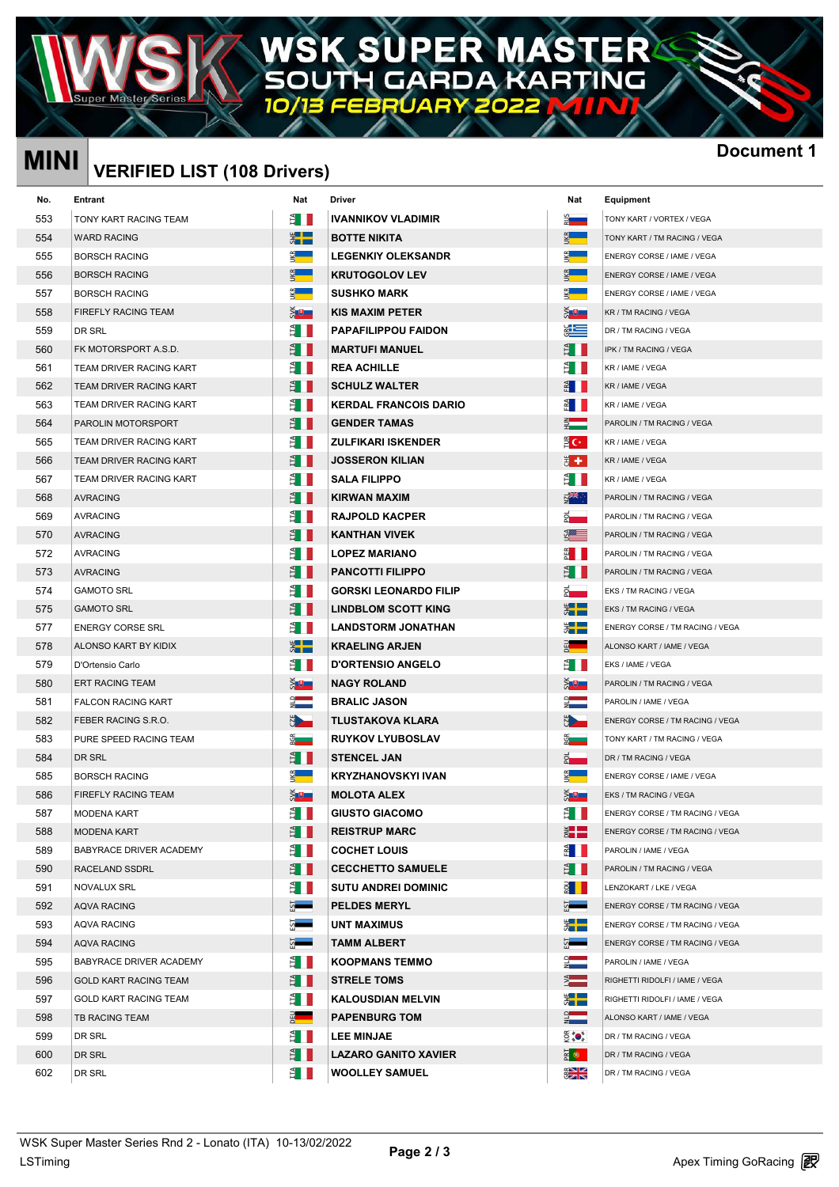### EŔ<sup>\</sup> IA W **KARTING** G DA Л

# **MINI Document 1 VERIFIED LIST (108 Drivers)**

| <b>MINI</b> | <b>VERIFIED LIST (108 Drivers)</b> |                     |                              |                                                                                                                                                                                                                                | <b>Docum</b>                    |
|-------------|------------------------------------|---------------------|------------------------------|--------------------------------------------------------------------------------------------------------------------------------------------------------------------------------------------------------------------------------|---------------------------------|
| No.         | Entrant                            | Nat                 | Driver                       | Nat                                                                                                                                                                                                                            | Equipment                       |
| 553         | TONY KART RACING TEAM              | Ê I II              | <b>IVANNIKOV VLADIMIR</b>    | $\frac{2}{3}$                                                                                                                                                                                                                  | TONY KART / VORTEX / VEGA       |
| 554         | <b>WARD RACING</b>                 | $\frac{1}{2}$       | <b>BOTTE NIKITA</b>          | $\mathbf{K}$                                                                                                                                                                                                                   | TONY KART / TM RACING / VEGA    |
| 555         | <b>BORSCH RACING</b>               |                     | <b>LEGENKIY OLEKSANDR</b>    | $\frac{d}{dx}$                                                                                                                                                                                                                 | ENERGY CORSE / IAME / VEGA      |
| 556         | <b>BORSCH RACING</b>               | $K_{\rm R}$         | <b>KRUTOGOLOV LEV</b>        | $K_{\rm R}$                                                                                                                                                                                                                    | ENERGY CORSE / IAME / VEGA      |
| 557         | <b>BORSCH RACING</b>               |                     | <b>SUSHKO MARK</b>           | g —                                                                                                                                                                                                                            | ENERGY CORSE / IAME / VEGA      |
| 558         | FIREFLY RACING TEAM                | $X + Y$             | <b>KIS MAXIM PETER</b>       | ŠU J                                                                                                                                                                                                                           | KR / TM RACING / VEGA           |
| 559         | DR SRL                             | É I                 | <b>PAPAFILIPPOU FAIDON</b>   | $rac{1}{2}$                                                                                                                                                                                                                    | DR / TM RACING / VEGA           |
| 560         | FK MOTORSPORT A.S.D.               | Ê I                 | <b>MARTUFI MANUEL</b>        | Ê II                                                                                                                                                                                                                           | IPK / TM RACING / VEGA          |
| 561         | TEAM DRIVER RACING KART            | Ê I                 | <b>REA ACHILLE</b>           | Ê III                                                                                                                                                                                                                          | KR / IAME / VEGA                |
| 562         | TEAM DRIVER RACING KART            | E I                 | <b>SCHULZ WALTER</b>         | $rac{1}{2}$                                                                                                                                                                                                                    | KR / IAME / VEGA                |
| 563         | TEAM DRIVER RACING KART            | Ê II                | <b>KERDAL FRANCOIS DARIO</b> | $rac{1}{2}$                                                                                                                                                                                                                    | KR / IAME / VEGA                |
| 564         | PAROLIN MOTORSPORT                 | E I                 | <b>GENDER TAMAS</b>          |                                                                                                                                                                                                                                | PAROLIN / TM RACING / VEGA      |
| 565         | TEAM DRIVER RACING KART            | ÊШ                  | <b>ZULFIKARI ISKENDER</b>    | $\mathbf{E} \mathbf{C}^*$ .                                                                                                                                                                                                    | KR / IAME / VEGA                |
| 566         | TEAM DRIVER RACING KART            | Ê II                | <b>JOSSERON KILIAN</b>       | ₩.                                                                                                                                                                                                                             | KR / IAME / VEGA                |
| 567         | TEAM DRIVER RACING KART            | Ê I                 | <b>SALA FILIPPO</b>          | Ê III                                                                                                                                                                                                                          | KR / IAME / VEGA                |
| 568         | <b>AVRACING</b>                    | Ê II                | <b>KIRWAN MAXIM</b>          | ष्ट्रे≭≼ः                                                                                                                                                                                                                      | PAROLIN / TM RACING / VEGA      |
| 569         | <b>AVRACING</b>                    | Ê II                | <b>RAJPOLD KACPER</b>        | $\vec{a}$                                                                                                                                                                                                                      | PAROLIN / TM RACING / VEGA      |
| 570         | <b>AVRACING</b>                    | E I                 | <b>KANTHAN VIVEK</b>         | se the set of the set of the set of the set of the set of the set of the set of the set of the set of the set of the set of the set of the set of the set of the set of the set of the set of the set of the set of the set of | PAROLIN / TM RACING / VEGA      |
| 572         | <b>AVRACING</b>                    | Ê II                | <b>LOPEZ MARIANO</b>         | $\frac{25}{2}$ $\blacksquare$                                                                                                                                                                                                  | PAROLIN / TM RACING / VEGA      |
| 573         | <b>AVRACING</b>                    | E I                 | <b>PANCOTTI FILIPPO</b>      | Ê I                                                                                                                                                                                                                            | PAROLIN / TM RACING / VEGA      |
| 574         | <b>GAMOTO SRL</b>                  | Ê II                | <b>GORSKI LEONARDO FILIP</b> | $2 -$                                                                                                                                                                                                                          | EKS / TM RACING / VEGA          |
| 575         | <b>GAMOTO SRL</b>                  | É I                 | <b>LINDBLOM SCOTT KING</b>   | $\frac{1}{2}$                                                                                                                                                                                                                  | EKS / TM RACING / VEGA          |
| 577         | <b>ENERGY CORSE SRL</b>            | Ê LI                | <b>LANDSTORM JONATHAN</b>    | $\frac{1}{2}$                                                                                                                                                                                                                  | ENERGY CORSE / TM RACING / VEGA |
| 578         | ALONSO KART BY KIDIX               | $\frac{1}{2}$       | <b>KRAELING ARJEN</b>        | $\frac{3}{2}$                                                                                                                                                                                                                  | ALONSO KART / IAME / VEGA       |
| 579         | D'Ortensio Carlo                   | Ê II                | <b>D'ORTENSIO ANGELO</b>     | Ê III                                                                                                                                                                                                                          | EKS / IAME / VEGA               |
| 580         | <b>ERT RACING TEAM</b>             | $5 +$               | <b>NAGY ROLAND</b>           | à₩.                                                                                                                                                                                                                            | PAROLIN / TM RACING / VEGA      |
| 581         | <b>FALCON RACING KART</b>          | $\frac{1}{2}$       | <b>BRALIC JASON</b>          | $\frac{1}{2}$                                                                                                                                                                                                                  | PAROLIN / IAME / VEGA           |
| 582         | FEBER RACING S.R.O.                | <b>BLACK</b>        | <b>TLUSTAKOVA KLARA</b>      | <u>de</u>                                                                                                                                                                                                                      | ENERGY CORSE / TM RACING / VEGA |
| 583         | PURE SPEED RACING TEAM             | <b><u>g</u></b>     | <b>RUYKOV LYUBOSLAV</b>      | $\frac{5}{2}$                                                                                                                                                                                                                  | TONY KART / TM RACING / VEGA    |
| 584         | DR SRL                             | E I                 | <b>STENCEL JAN</b>           | $\frac{1}{2}$                                                                                                                                                                                                                  | DR / TM RACING / VEGA           |
| 585         | <b>BORSCH RACING</b>               |                     | KRYZHANOVSKYI IVAN           | $\mathfrak{S}$ . The $\mathfrak{S}$                                                                                                                                                                                            | ENERGY CORSE / IAME / VEGA      |
| 586         | FIREFLY RACING TEAM                | $\frac{1}{2}$       | <b>MOLOTA ALEX</b>           | $5 +$                                                                                                                                                                                                                          | EKS / TM RACING / VEGA          |
| 587         | MODENA KART                        | Ê II                | <b>GIUSTO GIACOMO</b>        | È II                                                                                                                                                                                                                           | ENERGY CORSE / TM RACING / VEGA |
| 588         | MODENA KART                        | Ê I                 | <b>REISTRUP MARC</b>         | ž E                                                                                                                                                                                                                            | ENERGY CORSE / TM RACING / VEGA |
| 589         | BABYRACE DRIVER ACADEMY            | Ê II                | <b>COCHET LOUIS</b>          | $\frac{3}{2}$ $\blacksquare$                                                                                                                                                                                                   | PAROLIN / IAME / VEGA           |
| 590         | RACELAND SSDRL                     | E I                 | <b>CECCHETTO SAMUELE</b>     | Ê II                                                                                                                                                                                                                           | PAROLIN / TM RACING / VEGA      |
| 591         | NOVALUX SRL                        | È II                | <b>SUTU ANDREI DOMINIC</b>   | <u> ខ្ញុំ    </u>                                                                                                                                                                                                              | LENZOKART / LKE / VEGA          |
| 592         | AQVA RACING                        | $\overline{\Omega}$ | <b>PELDES MERYL</b>          | 5-                                                                                                                                                                                                                             | ENERGY CORSE / TM RACING / VEGA |
| 593         | AQVA RACING                        | $\sim$              | <b>UNT MAXIMUS</b>           | ▓██                                                                                                                                                                                                                            | ENERGY CORSE / TM RACING / VEGA |
| 594         | AQVA RACING                        | $\frac{5}{2}$       | <b>TAMM ALBERT</b>           | $\Omega$                                                                                                                                                                                                                       | ENERGY CORSE / TM RACING / VEGA |
| 595         | BABYRACE DRIVER ACADEMY            | È II                | <b>KOOPMANS TEMMO</b>        | $\frac{1}{2}$                                                                                                                                                                                                                  | PAROLIN / IAME / VEGA           |
| 596         | <b>GOLD KART RACING TEAM</b>       | Ê I                 | <b>STRELE TOMS</b>           | $\sum_{i=1}^{n}$                                                                                                                                                                                                               | RIGHETTI RIDOLFI / IAME / VEGA  |
| 597         | <b>GOLD KART RACING TEAM</b>       | Ê II                | <b>KALOUSDIAN MELVIN</b>     | ▓▅▆                                                                                                                                                                                                                            | RIGHETTI RIDOLFI / IAME / VEGA  |
| 598         | TB RACING TEAM                     | $rac{1}{2}$         | <b>PAPENBURG TOM</b>         | $\frac{1}{2}$                                                                                                                                                                                                                  | ALONSO KART / IAME / VEGA       |
| 599         | DR SRL                             | Ê I                 | <b>LEE MINJAE</b>            | $\widetilde{\mathbb{Q}}$ (o)                                                                                                                                                                                                   | DR / TM RACING / VEGA           |
| 600         | DR SRL                             | Ê I                 | <b>LAZARO GANITO XAVIER</b>  | ឝ ⊜                                                                                                                                                                                                                            | DR / TM RACING / VEGA           |
| 602         | DR SRL                             | È I                 | <b>WOOLLEY SAMUEL</b>        | $rac{1}{2}$                                                                                                                                                                                                                    | DR / TM RACING / VEGA           |
|             |                                    |                     |                              |                                                                                                                                                                                                                                |                                 |

| <b>IVANNIKOV VLADIMIR</b>    |
|------------------------------|
| <b>BOTTE NIKITA</b>          |
| <b>LEGENKIY OLEKSANDR</b>    |
| <b>KRUTOGOLOV LEV</b>        |
| <b>SUSHKO MARK</b>           |
| <b>KIS MAXIM PETER</b>       |
| <b>PAPAFILIPPOU FAIDON</b>   |
| <b>MARTUFI MANUEL</b>        |
| <b>REA ACHILLE</b>           |
| <b>SCHULZ WALTER</b>         |
| <b>KERDAL FRANCOIS DARIO</b> |
| <b>GENDER TAMAS</b>          |
| <b>ZULFIKARI ISKENDER</b>    |
| <b>JOSSERON KILIAN</b>       |
| <b>SALA FILIPPO</b>          |
| <b>KIRWAN MAXIM</b>          |
| <b>RAJPOLD KACPER</b>        |
| <b>KANTHAN VIVEK</b>         |
| <b>LOPEZ MARIANO</b>         |
| <b>PANCOTTI FILIPPO</b>      |
| <b>GORSKI LEONARDO FILIP</b> |
| <b>LINDBLOM SCOTT KING</b>   |
| <b>LANDSTORM JONATHAN</b>    |
| <b>KRAELING ARJEN</b>        |
| <b>D'ORTENSIO ANGELO</b>     |
| <b>NAGY ROLAND</b>           |
| <b>BRALIC JASON</b>          |
| TLUSTAKOVA KLARA             |
| <b>RUYKOV LYUBOSLAV</b>      |
| <b>STENCEL JAN</b>           |
| <b>KRYZHANOVSKYI IVAN</b>    |
| <b>MOLOTA ALEX</b>           |
| <b>GIUSTO GIACOMO</b>        |
| <b>REISTRUP MARC</b>         |
| <b>COCHET LOUIS</b>          |
| <b>CECCHETTO SAMUELE</b>     |
| <b>SUTU ANDREI DOMINIC</b>   |
| <b>PELDES MERYL</b>          |
| <b>UNT MAXIMUS</b>           |
| <b>TAMM ALBERT</b>           |
| <b>KOOPMANS TEMMO</b>        |
| <b>STRELE TOMS</b>           |
| <b>KALOUSDIAN MELVIN</b>     |
| <b>PAPENBURG TOM</b>         |
| <b>LEE MINJAE</b>            |
| <b>LAZARO GANITO XAVIER</b>  |
| <b>WOOLLEY SAMUEL</b>        |

| at                                                                                      | Equipment                       |
|-----------------------------------------------------------------------------------------|---------------------------------|
|                                                                                         | TONY KART / VORTEX / VEGA       |
|                                                                                         | TONY KART / TM RACING / VEGA    |
|                                                                                         | ENERGY CORSE / IAME / VEGA      |
|                                                                                         | ENERGY CORSE / IAME / VEGA      |
| ÷,                                                                                      | ENERGY CORSE / IAME / VEGA      |
|                                                                                         | KR / TM RACING / VEGA           |
|                                                                                         | DR / TM RACING / VEGA           |
|                                                                                         | IPK / TM RACING / VEGA          |
|                                                                                         | KR / IAME / VEGA                |
|                                                                                         | KR / IAME / VEGA                |
|                                                                                         | KR / IAME / VEGA                |
|                                                                                         | PAROLIN / TM RACING / VEGA      |
| DK.                                                                                     | KR / IAME / VEGA                |
| ٠.                                                                                      | KR / IAME / VEGA                |
|                                                                                         | KR / IAME / VEGA                |
| چ≑                                                                                      | PAROLIN / TM RACING / VEGA      |
|                                                                                         | PAROLIN / TM RACING / VEGA      |
|                                                                                         | PAROLIN / TM RACING / VEGA      |
|                                                                                         | PAROLIN / TM RACING / VEGA      |
|                                                                                         | PAROLIN / TM RACING / VEGA      |
|                                                                                         | <b>EKS / TM RACING / VEGA</b>   |
|                                                                                         | EKS / TM RACING / VEGA          |
| E                                                                                       | ENERGY CORSE / TM RACING / VEGA |
| ۹                                                                                       | ALONSO KART / IAME / VEGA       |
|                                                                                         | EKS / IAME / VEGA               |
|                                                                                         | PAROLIN / TM RACING / VEGA      |
|                                                                                         | PAROLIN / IAME / VEGA           |
|                                                                                         | ENERGY CORSE / TM RACING / VEGA |
|                                                                                         | TONY KART / TM RACING / VEGA    |
| ŧ                                                                                       | DR / TM RACING / VEGA           |
|                                                                                         | ENERGY CORSE / IAME / VEGA      |
| ,                                                                                       | EKS / TM RACING / VEGA          |
|                                                                                         | ENERGY CORSE / TM RACING / VEGA |
|                                                                                         | ENERGY CORSE / TM RACING / VEGA |
|                                                                                         | PAROLIN / IAME / VEGA           |
|                                                                                         | PAROLIN / TM RACING / VEGA      |
|                                                                                         | LENZOKART / LKE / VEGA          |
|                                                                                         | ENERGY CORSE / TM RACING / VEGA |
| E                                                                                       | ENERGY CORSE / TM RACING / VEGA |
|                                                                                         | ENERGY CORSE / TM RACING / VEGA |
|                                                                                         | PAROLIN / IAME / VEGA           |
| ֖֖֖֖֖֧ׅ֖֧֧֖֧֖֧֧֧֧֧֖֧֖֧֧֖֧֧֖֧֚֚֚֚֚֚֚֚֚֚֚֚֚֚֚֚֚֚֚֚֚֚֚֚֚֚֚֬֝֓֡֬֝֬֝֓֝֬֝֓֬֝֓֝֬֝֬֝֬֝֬֝֬֝֬֝֬֝֬ | RIGHETTI RIDOLFI / IAME / VEGA  |
|                                                                                         | RIGHETTI RIDOLFI / IAME / VEGA  |
|                                                                                         | ALONSO KART / IAME / VEGA       |
| $\bullet^*_s$                                                                           | DR / TM RACING / VEGA           |
| Þ.                                                                                      | DR / TM RACING / VEGA           |
| ız<br>115                                                                               | DR / TM RACING / VEGA           |